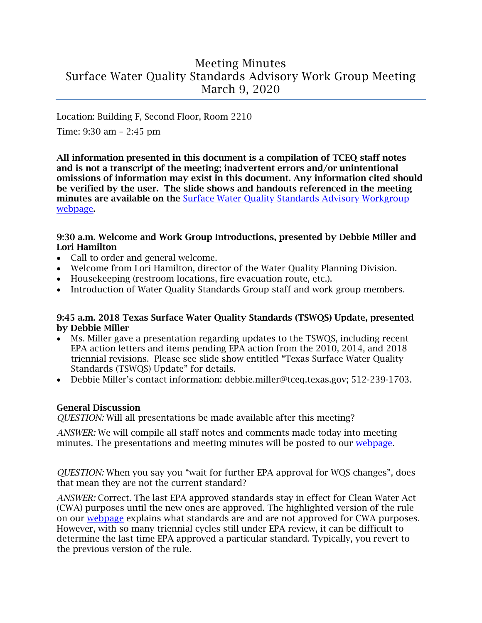# Meeting Minutes Surface Water Quality Standards Advisory Work Group Meeting March 9, 2020

Location: Building F, Second Floor, Room 2210

Time: 9:30 am – 2:45 pm

All information presented in this document is a compilation of TCEQ staff notes and is not a transcript of the meeting; inadvertent errors and/or unintentional omissions of information may exist in this document. Any information cited should be verified by the user. The slide shows and handouts referenced in the meeting minutes are available on the Surface Water Quality Standards Advisory Workgroup [webpage](https://www.tceq.texas.gov/waterquality/standards/stakeholders/swqsawg.html).

#### 9:30 a.m. Welcome and Work Group Introductions, presented by Debbie Miller and Lori Hamilton

- Call to order and general welcome.
- Welcome from Lori Hamilton, director of the Water Quality Planning Division.
- Housekeeping (restroom locations, fire evacuation route, etc.).
- Introduction of Water Quality Standards Group staff and work group members.

#### 9:45 a.m. 2018 Texas Surface Water Quality Standards (TSWQS) Update, presented by Debbie Miller

- Ms. Miller gave a presentation regarding updates to the TSWQS, including recent EPA action letters and items pending EPA action from the 2010, 2014, and 2018 triennial revisions. Please see slide show entitled "Texas Surface Water Quality Standards (TSWQS) Update" for details.
- Debbie Miller's contact information: debbie.miller@tceq.texas.gov; 512-239-1703.

# General Discussion

*QUESTION:* Will all presentations be made available after this meeting?

*ANSWER:* We will compile all staff notes and comments made today into meeting minutes. The presentations and meeting minutes will be posted to our [webpage.](https://www.tceq.texas.gov/waterquality/standards/stakeholders/swqsawg.html)

*QUESTION:* When you say you "wait for further EPA approval for WQS changes", does that mean they are not the current standard?

*ANSWER:* Correct. The last EPA approved standards stay in effect for Clean Water Act (CWA) purposes until the new ones are approved. The highlighted version of the rule on our [webpage](https://www.tceq.texas.gov/waterquality/standards/2018-surface-water-quality-standards) explains what standards are and are not approved for CWA purposes. However, with so many triennial cycles still under EPA review, it can be difficult to determine the last time EPA approved a particular standard. Typically, you revert to the previous version of the rule.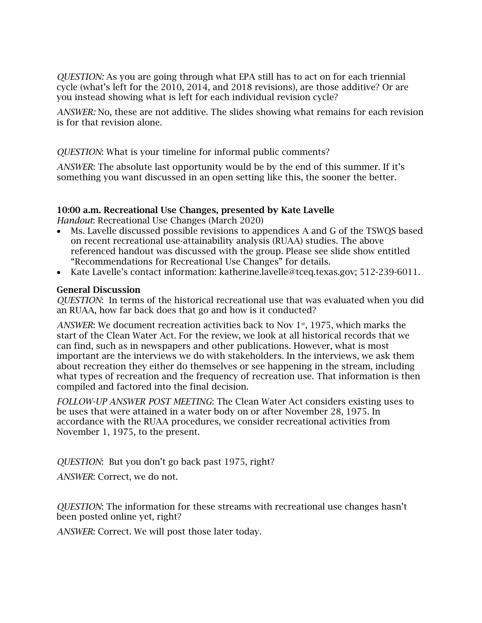*QUESTION:* As you are going through what EPA still has to act on for each triennial cycle (what's left for the 2010, 2014, and 2018 revisions), are those additive? Or are you instead showing what is left for each individual revision cycle?

*ANSWER:* No, these are not additive. The slides showing what remains for each revision is for that revision alone.

#### *QUESTION*: What is your timeline for informal public comments?

*ANSWER*: The absolute last opportunity would be by the end of this summer. If it's something you want discussed in an open setting like this, the sooner the better.

#### 10:00 a.m. Recreational Use Changes, presented by Kate Lavelle

*Handout*: Recreational Use Changes (March 2020)

- Ms. Lavelle discussed possible revisions to appendices A and G of the TSWQS based on recent recreational use-attainability analysis (RUAA) studies. The above referenced handout was discussed with the group. Please see slide show entitled "Recommendations for Recreational Use Changes" for details.
- Kate Lavelle's contact information: katherine.lavelle@tceq.texas.gov; 512-239-6011.

#### General Discussion

*QUESTION*: In terms of the historical recreational use that was evaluated when you did an RUAA, how far back does that go and how is it conducted?

ANSWER: We document recreation activities back to Nov 1<sup>st</sup>, 1975, which marks the start of the Clean Water Act. For the review, we look at all historical records that we can find, such as in newspapers and other publications. However, what is most important are the interviews we do with stakeholders. In the interviews, we ask them about recreation they either do themselves or see happening in the stream, including what types of recreation and the frequency of recreation use. That information is then compiled and factored into the final decision.

*FOLLOW-UP ANSWER POST MEETING*: The Clean Water Act considers existing uses to be uses that were attained in a water body on or after November 28, 1975. In accordance with the RUAA procedures, we consider recreational activities from November 1, 1975, to the present.

*QUESTION*: But you don't go back past 1975, right?

*ANSWER*: Correct, we do not.

*QUESTION*: The information for these streams with recreational use changes hasn't been posted online yet, right?

*ANSWER*: Correct. We will post those later today.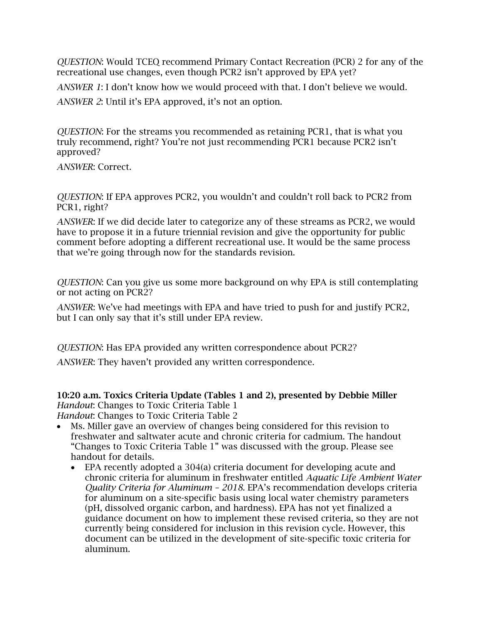*QUESTION*: Would TCEQ recommend Primary Contact Recreation (PCR) 2 for any of the recreational use changes, even though PCR2 isn't approved by EPA yet?

*ANSWER 1*: I don't know how we would proceed with that. I don't believe we would.

*ANSWER 2*: Until it's EPA approved, it's not an option.

*QUESTION*: For the streams you recommended as retaining PCR1, that is what you truly recommend, right? You're not just recommending PCR1 because PCR2 isn't approved?

*ANSWER*: Correct.

*QUESTION*: If EPA approves PCR2, you wouldn't and couldn't roll back to PCR2 from PCR1, right?

*ANSWER*: If we did decide later to categorize any of these streams as PCR2, we would have to propose it in a future triennial revision and give the opportunity for public comment before adopting a different recreational use. It would be the same process that we're going through now for the standards revision.

*QUESTION*: Can you give us some more background on why EPA is still contemplating or not acting on PCR2?

*ANSWER*: We've had meetings with EPA and have tried to push for and justify PCR2, but I can only say that it's still under EPA review.

*QUESTION*: Has EPA provided any written correspondence about PCR2?

*ANSWER*: They haven't provided any written correspondence.

10:20 a.m. Toxics Criteria Update (Tables 1 and 2), presented by Debbie Miller *Handout*: Changes to Toxic Criteria Table 1

*Handout*: Changes to Toxic Criteria Table 2

- Ms. Miller gave an overview of changes being considered for this revision to freshwater and saltwater acute and chronic criteria for cadmium. The handout "Changes to Toxic Criteria Table 1" was discussed with the group. Please see handout for details.
	- EPA recently adopted a 304(a) criteria document for developing acute and chronic criteria for aluminum in freshwater entitled *Aquatic Life Ambient Water Quality Criteria for Aluminum – 2018.* EPA's recommendation develops criteria for aluminum on a site-specific basis using local water chemistry parameters (pH, dissolved organic carbon, and hardness). EPA has not yet finalized a guidance document on how to implement these revised criteria, so they are not currently being considered for inclusion in this revision cycle. However, this document can be utilized in the development of site-specific toxic criteria for aluminum.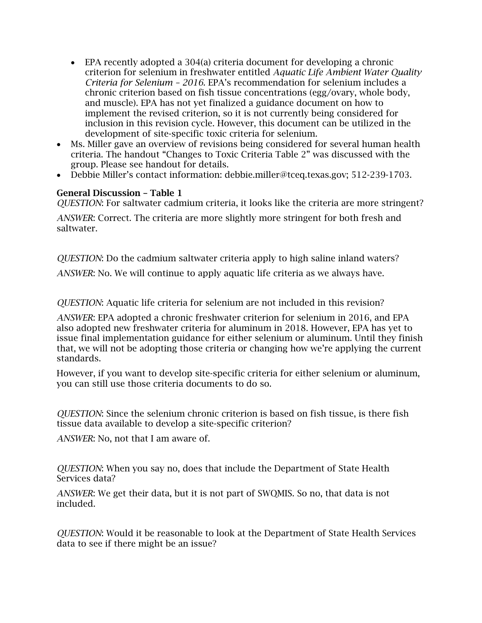- EPA recently adopted a 304(a) criteria document for developing a chronic criterion for selenium in freshwater entitled *Aquatic Life Ambient Water Quality Criteria for Selenium – 2016*. EPA's recommendation for selenium includes a chronic criterion based on fish tissue concentrations (egg/ovary, whole body, and muscle). EPA has not yet finalized a guidance document on how to implement the revised criterion, so it is not currently being considered for inclusion in this revision cycle. However, this document can be utilized in the development of site-specific toxic criteria for selenium.
- Ms. Miller gave an overview of revisions being considered for several human health criteria. The handout "Changes to Toxic Criteria Table 2" was discussed with the group. Please see handout for details.
- Debbie Miller's contact information: debbie.miller@tceq.texas.gov; 512-239-1703.

# General Discussion – Table 1

*QUESTION*: For saltwater cadmium criteria, it looks like the criteria are more stringent?

*ANSWER*: Correct. The criteria are more slightly more stringent for both fresh and saltwater.

*QUESTION*: Do the cadmium saltwater criteria apply to high saline inland waters? *ANSWER*: No. We will continue to apply aquatic life criteria as we always have.

*QUESTION*: Aquatic life criteria for selenium are not included in this revision?

*ANSWER*: EPA adopted a chronic freshwater criterion for selenium in 2016, and EPA also adopted new freshwater criteria for aluminum in 2018. However, EPA has yet to issue final implementation guidance for either selenium or aluminum. Until they finish that, we will not be adopting those criteria or changing how we're applying the current standards.

However, if you want to develop site-specific criteria for either selenium or aluminum, you can still use those criteria documents to do so.

*QUESTION*: Since the selenium chronic criterion is based on fish tissue, is there fish tissue data available to develop a site-specific criterion?

*ANSWER*: No, not that I am aware of.

*QUESTION*: When you say no, does that include the Department of State Health Services data?

*ANSWER*: We get their data, but it is not part of SWQMIS. So no, that data is not included.

*QUESTION*: Would it be reasonable to look at the Department of State Health Services data to see if there might be an issue?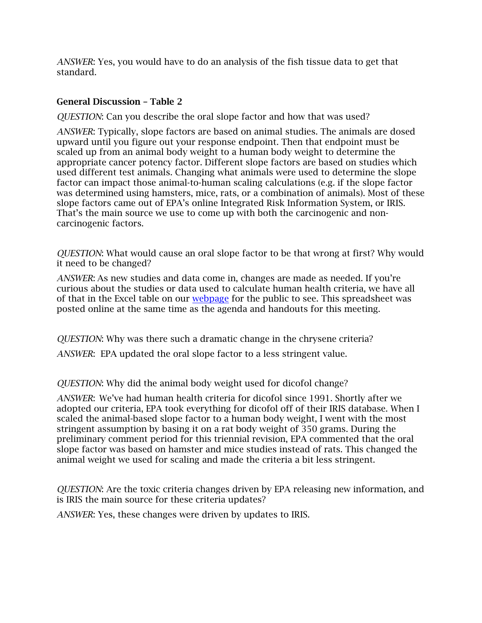*ANSWER*: Yes, you would have to do an analysis of the fish tissue data to get that standard.

#### General Discussion – Table 2

*QUESTION*: Can you describe the oral slope factor and how that was used?

*ANSWER*: Typically, slope factors are based on animal studies. The animals are dosed upward until you figure out your response endpoint. Then that endpoint must be scaled up from an animal body weight to a human body weight to determine the appropriate cancer potency factor. Different slope factors are based on studies which used different test animals. Changing what animals were used to determine the slope factor can impact those animal-to-human scaling calculations (e.g. if the slope factor was determined using hamsters, mice, rats, or a combination of animals). Most of these slope factors came out of EPA's online Integrated Risk Information System, or IRIS. That's the main source we use to come up with both the carcinogenic and noncarcinogenic factors.

*QUESTION*: What would cause an oral slope factor to be that wrong at first? Why would it need to be changed?

*ANSWER*: As new studies and data come in, changes are made as needed. If you're curious about the studies or data used to calculate human health criteria, we have all of that in the Excel table on our [webpage](https://www.tceq.texas.gov/waterquality/standards/stakeholders/swqsawg.html) for the public to see. This spreadsheet was posted online at the same time as the agenda and handouts for this meeting.

*QUESTION*: Why was there such a dramatic change in the chrysene criteria? *ANSWER*: EPA updated the oral slope factor to a less stringent value.

*QUESTION*: Why did the animal body weight used for dicofol change?

*ANSWER*: We've had human health criteria for dicofol since 1991. Shortly after we adopted our criteria, EPA took everything for dicofol off of their IRIS database. When I scaled the animal-based slope factor to a human body weight, I went with the most stringent assumption by basing it on a rat body weight of 350 grams. During the preliminary comment period for this triennial revision, EPA commented that the oral slope factor was based on hamster and mice studies instead of rats. This changed the animal weight we used for scaling and made the criteria a bit less stringent.

*QUESTION*: Are the toxic criteria changes driven by EPA releasing new information, and is IRIS the main source for these criteria updates?

*ANSWER*: Yes, these changes were driven by updates to IRIS.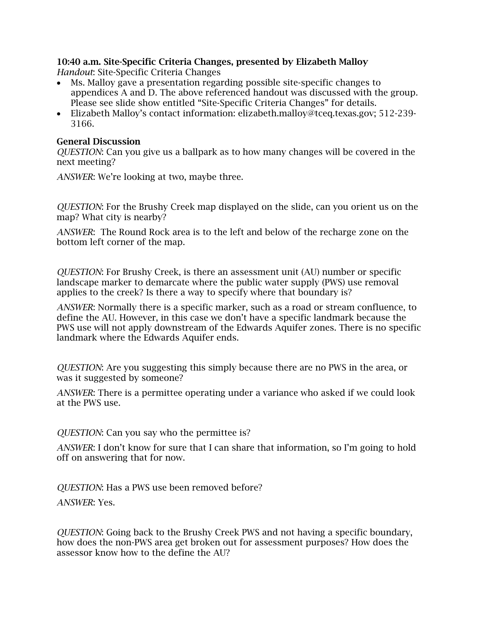# 10:40 a.m. Site-Specific Criteria Changes, presented by Elizabeth Malloy

*Handout*: Site-Specific Criteria Changes

- Ms. Malloy gave a presentation regarding possible site-specific changes to appendices A and D. The above referenced handout was discussed with the group. Please see slide show entitled "Site-Specific Criteria Changes" for details.
- Elizabeth Malloy's contact information: elizabeth.malloy@tceq.texas.gov; 512-239- 3166.

#### General Discussion

*QUESTION*: Can you give us a ballpark as to how many changes will be covered in the next meeting?

*ANSWER*: We're looking at two, maybe three.

*QUESTION*: For the Brushy Creek map displayed on the slide, can you orient us on the map? What city is nearby?

*ANSWER*: The Round Rock area is to the left and below of the recharge zone on the bottom left corner of the map.

*QUESTION*: For Brushy Creek, is there an assessment unit (AU) number or specific landscape marker to demarcate where the public water supply (PWS) use removal applies to the creek? Is there a way to specify where that boundary is?

*ANSWER*: Normally there is a specific marker, such as a road or stream confluence, to define the AU. However, in this case we don't have a specific landmark because the PWS use will not apply downstream of the Edwards Aquifer zones. There is no specific landmark where the Edwards Aquifer ends.

*QUESTION*: Are you suggesting this simply because there are no PWS in the area, or was it suggested by someone?

*ANSWER*: There is a permittee operating under a variance who asked if we could look at the PWS use.

# *QUESTION*: Can you say who the permittee is?

*ANSWER*: I don't know for sure that I can share that information, so I'm going to hold off on answering that for now.

*QUESTION*: Has a PWS use been removed before? *ANSWER*: Yes.

*QUESTION*: Going back to the Brushy Creek PWS and not having a specific boundary, how does the non-PWS area get broken out for assessment purposes? How does the assessor know how to the define the AU?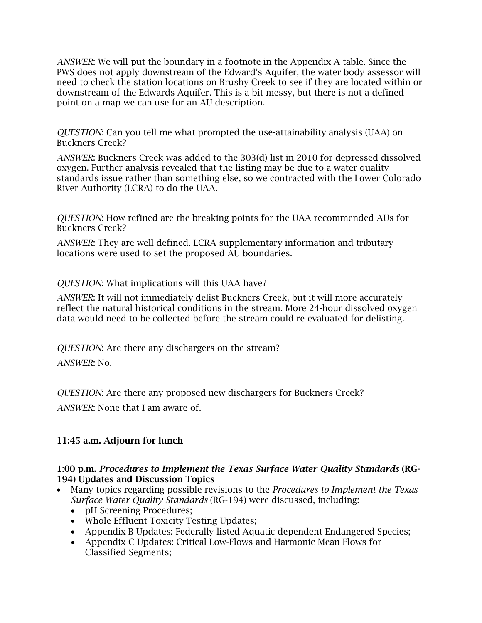*ANSWER*: We will put the boundary in a footnote in the Appendix A table. Since the PWS does not apply downstream of the Edward's Aquifer, the water body assessor will need to check the station locations on Brushy Creek to see if they are located within or downstream of the Edwards Aquifer. This is a bit messy, but there is not a defined point on a map we can use for an AU description.

*QUESTION*: Can you tell me what prompted the use-attainability analysis (UAA) on Buckners Creek?

*ANSWER*: Buckners Creek was added to the 303(d) list in 2010 for depressed dissolved oxygen. Further analysis revealed that the listing may be due to a water quality standards issue rather than something else, so we contracted with the Lower Colorado River Authority (LCRA) to do the UAA.

*QUESTION*: How refined are the breaking points for the UAA recommended AUs for Buckners Creek?

*ANSWER*: They are well defined. LCRA supplementary information and tributary locations were used to set the proposed AU boundaries.

*QUESTION*: What implications will this UAA have?

*ANSWER*: It will not immediately delist Buckners Creek, but it will more accurately reflect the natural historical conditions in the stream. More 24-hour dissolved oxygen data would need to be collected before the stream could re-evaluated for delisting.

*QUESTION*: Are there any dischargers on the stream?

*ANSWER*: No.

*QUESTION*: Are there any proposed new dischargers for Buckners Creek?

*ANSWER*: None that I am aware of.

# 11:45 a.m. Adjourn for lunch

#### 1:00 p.m. *Procedures to Implement the Texas Surface Water Quality Standards* (RG-194) Updates and Discussion Topics

- Many topics regarding possible revisions to the *Procedures to Implement the Texas Surface Water Quality Standards* (RG-194) were discussed, including:
	- pH Screening Procedures;
	- Whole Effluent Toxicity Testing Updates;
	- Appendix B Updates: Federally-listed Aquatic-dependent Endangered Species;
	- Appendix C Updates: Critical Low-Flows and Harmonic Mean Flows for Classified Segments;